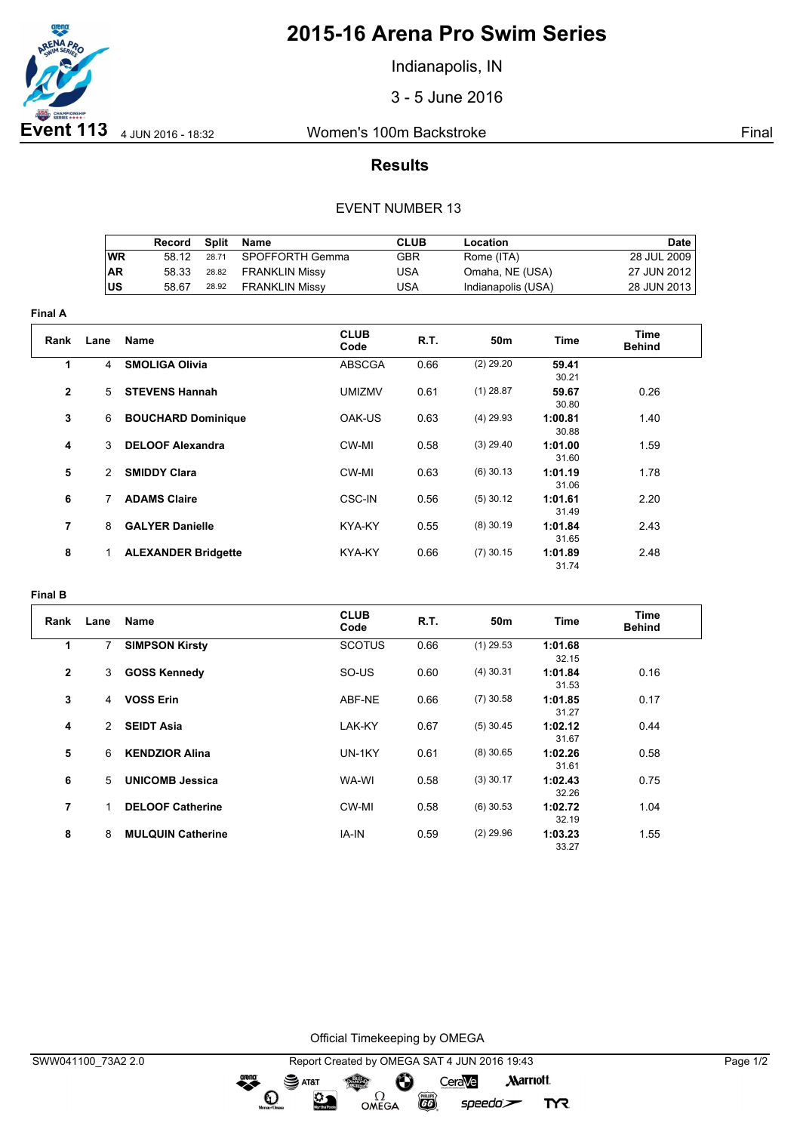

# **2015-16 Arena Pro Swim Series**

Indianapolis, IN

3 - 5 June 2016

## **Results**

#### EVENT NUMBER 13

|           | Record | Split | Name                 | CLUB | Location           | <b>Date</b> |
|-----------|--------|-------|----------------------|------|--------------------|-------------|
| WR        | 58 12  | 28.71 | SPOFFORTH Gemma      | GBR  | Rome (ITA)         | 28 JUL 2009 |
| <b>AR</b> | 58.33  |       | 28.82 FRANKLIN Missy | USA  | Omaha, NE (USA)    | 27 JUN 2012 |
| ΙUS       | 58.67  | 28.92 | FRANKLIN Missy       | USA  | Indianapolis (USA) | 28 JUN 2013 |

| <b>Final A</b> |               |                            |                     |      |             |                  |                       |  |  |
|----------------|---------------|----------------------------|---------------------|------|-------------|------------------|-----------------------|--|--|
| Rank           | Lane          | <b>Name</b>                | <b>CLUB</b><br>Code | R.T. | 50m         | Time             | Time<br><b>Behind</b> |  |  |
| 1              | 4             | <b>SMOLIGA Olivia</b>      | <b>ABSCGA</b>       | 0.66 | $(2)$ 29.20 | 59.41<br>30.21   |                       |  |  |
| $\mathbf{2}$   | 5             | <b>STEVENS Hannah</b>      | <b>UMIZMV</b>       | 0.61 | $(1)$ 28.87 | 59.67<br>30.80   | 0.26                  |  |  |
| 3              | 6             | <b>BOUCHARD Dominique</b>  | OAK-US              | 0.63 | $(4)$ 29.93 | 1:00.81<br>30.88 | 1.40                  |  |  |
| 4              | 3             | <b>DELOOF Alexandra</b>    | CW-MI               | 0.58 | $(3)$ 29.40 | 1:01.00<br>31.60 | 1.59                  |  |  |
| 5              | $\mathcal{P}$ | <b>SMIDDY Clara</b>        | CW-MI               | 0.63 | $(6)$ 30.13 | 1:01.19<br>31.06 | 1.78                  |  |  |
| 6              | 7             | <b>ADAMS Claire</b>        | <b>CSC-IN</b>       | 0.56 | $(5)$ 30.12 | 1:01.61<br>31.49 | 2.20                  |  |  |
| 7              | 8             | <b>GALYER Danielle</b>     | KYA-KY              | 0.55 | $(8)$ 30.19 | 1:01.84<br>31.65 | 2.43                  |  |  |
| 8              | 1             | <b>ALEXANDER Bridgette</b> | KYA-KY              | 0.66 | $(7)$ 30.15 | 1:01.89<br>31.74 | 2.48                  |  |  |

### **Final B**

| Rank         | Lane | Name                     | <b>CLUB</b><br>Code | <b>R.T.</b> | 50m         | <b>Time</b>      | <b>Time</b><br><b>Behind</b> |
|--------------|------|--------------------------|---------------------|-------------|-------------|------------------|------------------------------|
| 1            | 7    | <b>SIMPSON Kirsty</b>    | <b>SCOTUS</b>       | 0.66        | $(1)$ 29.53 | 1:01.68<br>32.15 |                              |
| $\mathbf{2}$ | 3    | <b>GOSS Kennedy</b>      | SO-US               | 0.60        | $(4)$ 30.31 | 1:01.84<br>31.53 | 0.16                         |
| 3            | 4    | <b>VOSS Erin</b>         | ABF-NE              | 0.66        | $(7)$ 30.58 | 1:01.85<br>31.27 | 0.17                         |
| 4            | 2    | <b>SEIDT Asia</b>        | LAK-KY              | 0.67        | $(5)$ 30.45 | 1:02.12<br>31.67 | 0.44                         |
| 5            | 6    | <b>KENDZIOR Alina</b>    | UN-1KY              | 0.61        | $(8)$ 30.65 | 1:02.26<br>31.61 | 0.58                         |
| 6            | 5    | <b>UNICOMB Jessica</b>   | WA-WI               | 0.58        | $(3)$ 30.17 | 1:02.43<br>32.26 | 0.75                         |
| 7            | 1    | <b>DELOOF Catherine</b>  | CW-MI               | 0.58        | $(6)$ 30.53 | 1:02.72<br>32.19 | 1.04                         |
| 8            | 8    | <b>MULQUIN Catherine</b> | IA-IN               | 0.59        | $(2)$ 29.96 | 1:03.23<br>33.27 | 1.55                         |

Official Timekeeping by OMEGA

**EXAMPLE** 

 $speedo$ 

**TYR** 

dreng:

 $\mathbf{O}$ 

 $\mathfrak{D}$